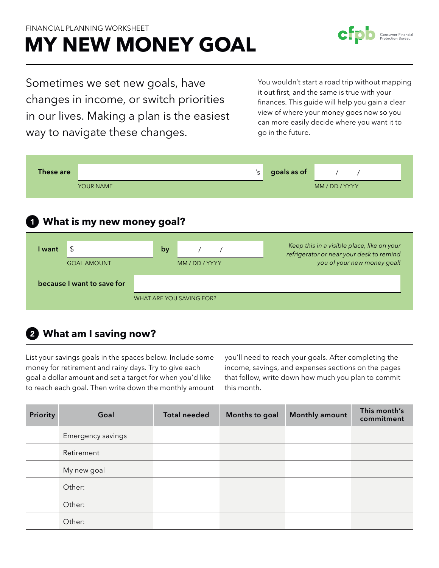#### Financial Planning Worksheet

# **My new money goal**

Sometimes we set new goals, have changes in income, or switch priorities in our lives. Making a plan is the easiest way to navigate these changes.

You wouldn't start a road trip without mapping it out first, and the same is true with your finances. This guide will help you gain a clear view of where your money goes now so you can more easily decide where you want it to go in the future.



# **What am I saving now?**

List your savings goals in the spaces below. Include some money for retirement and rainy days. Try to give each goal a dollar amount and set a target for when you'd like to reach each goal. Then write down the monthly amount you'll need to reach your goals. After completing the income, savings, and expenses sections on the pages that follow, write down how much you plan to commit this month.

| Priority | Goal              | <b>Total needed</b> | Months to goal | Monthly amount | This month's<br>commitment |
|----------|-------------------|---------------------|----------------|----------------|----------------------------|
|          | Emergency savings |                     |                |                |                            |
|          | Retirement        |                     |                |                |                            |
|          | My new goal       |                     |                |                |                            |
|          | Other:            |                     |                |                |                            |
|          | Other:            |                     |                |                |                            |
|          | Other:            |                     |                |                |                            |

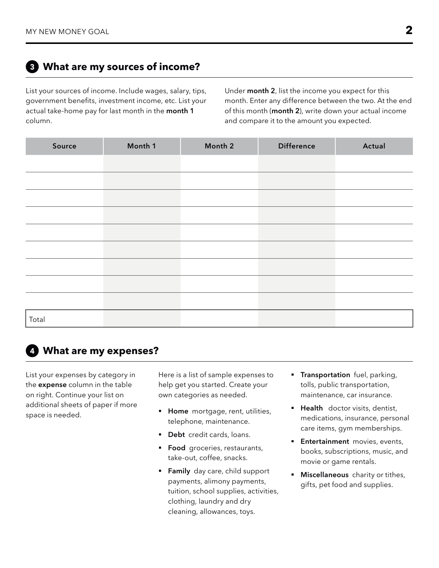## **What are my sources of income?**

List your sources of income. Include wages, salary, tips, government benefits, investment income, etc. List your actual take-home pay for last month in the **month 1** column.

Under **month 2**, list the income you expect for this month. Enter any difference between the two. At the end of this month (**month 2**), write down your actual income and compare it to the amount you expected.

| Source | Month 1 | Month 2 | <b>Difference</b> | Actual |
|--------|---------|---------|-------------------|--------|
|        |         |         |                   |        |
|        |         |         |                   |        |
|        |         |         |                   |        |
|        |         |         |                   |        |
|        |         |         |                   |        |
|        |         |         |                   |        |
|        |         |         |                   |        |
|        |         |         |                   |        |
|        |         |         |                   |        |
| Total  |         |         |                   |        |

### **What are my expenses?**

List your expenses by category in the **expense** column in the table on right. Continue your list on additional sheets of paper if more space is needed.

Here is a list of sample expenses to help get you started. Create your own categories as needed.

- § **Home** mortgage, rent, utilities, telephone, maintenance.
- **Debt** credit cards, loans.
- **Food** groceries, restaurants, take-out, coffee, snacks.
- **Family** day care, child support payments, alimony payments, tuition, school supplies, activities, clothing, laundry and dry cleaning, allowances, toys.
- **F** Transportation fuel, parking, tolls, public transportation, maintenance, car insurance.
- § **Health** doctor visits, dentist, medications, insurance, personal care items, gym memberships.
- **Entertainment** movies, events, books, subscriptions, music, and movie or game rentals.
- § **Miscellaneous** charity or tithes, gifts, pet food and supplies.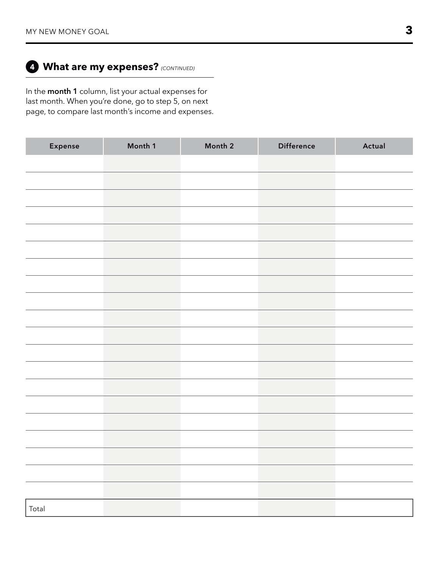## **What are my expenses?** *(CONTINUED)*

In the **month 1** column, list your actual expenses for last month. When you're done, go to step 5, on next page, to compare last month's income and expenses.

| Expense | Month 1 | Month 2 | Difference | Actual |
|---------|---------|---------|------------|--------|
|         |         |         |            |        |
|         |         |         |            |        |
|         |         |         |            |        |
|         |         |         |            |        |
|         |         |         |            |        |
|         |         |         |            |        |
|         |         |         |            |        |
|         |         |         |            |        |
|         |         |         |            |        |
|         |         |         |            |        |
|         |         |         |            |        |
|         |         |         |            |        |
|         |         |         |            |        |
|         |         |         |            |        |
|         |         |         |            |        |
|         |         |         |            |        |
|         |         |         |            |        |
|         |         |         |            |        |
|         |         |         |            |        |
|         |         |         |            |        |
| Total   |         |         |            |        |